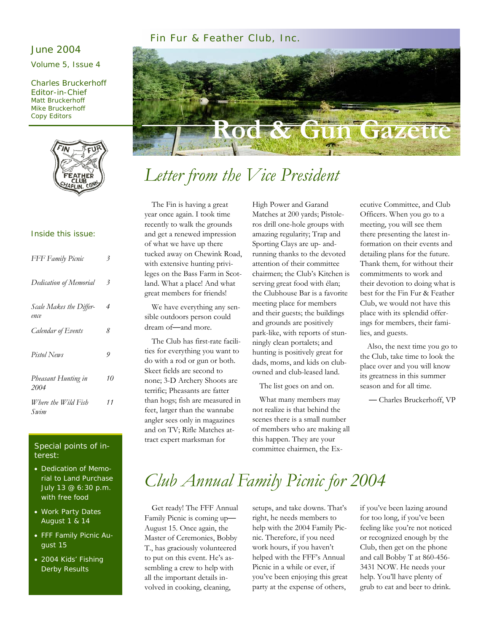#### Fin Fur & Feather Club, Inc.

#### June 2004

Volume 5, Issue 4

Charles Bruckerhoff Editor-in-Chief Matt Bruckerhoff Mike Bruckerhoff Copy Editors



# **Razette**

# *Letter from the Vice President*

#### Inside this issue:

| FFF Family Picnic               | 3  |
|---------------------------------|----|
| Dedication of Memorial          | 3  |
| Scale Makes the Differ-<br>ence | 4  |
| Calendar of Events              | 8  |
| Pistol News                     | 9  |
| Pheasant Hunting in<br>2004     | 10 |
| Where the Wild Fish<br>Swim     | 11 |

#### Special points of interest:

- Dedication of Memorial to Land Purchase July 13 @ 6:30 p.m. with free food
- Work Party Dates August 1 & 14
- FFF Family Picnic August 15
- 2004 Kids' Fishing Derby Results

 The Fin is having a great year once again. I took time recently to walk the grounds and get a renewed impression of what we have up there tucked away on Chewink Road, with extensive hunting privileges on the Bass Farm in Scotland. What a place! And what great members for friends!

 We have everything any sensible outdoors person could dream of—and more.

 The Club has first-rate facilities for everything you want to do with a rod or gun or both. Skeet fields are second to none; 3-D Archery Shoots are terrific; Pheasants are fatter than hogs; fish are measured in feet, larger than the wannabe angler sees only in magazines and on TV; Rifle Matches attract expert marksman for

High Power and Garand Matches at 200 yards; Pistoleros drill one-hole groups with amazing regularity; Trap and Sporting Clays are up- andrunning thanks to the devoted attention of their committee chairmen; the Club's Kitchen is serving great food with élan; the Clubhouse Bar is a favorite meeting place for members and their guests; the buildings and grounds are positively park-like, with reports of stunningly clean portalets; and hunting is positively great for dads, moms, and kids on clubowned and club-leased land.

The list goes on and on.

 What many members may not realize is that behind the scenes there is a small number of members who are making all this happen. They are your committee chairmen, the Executive Committee, and Club Officers. When you go to a meeting, you will see them there presenting the latest information on their events and detailing plans for the future. Thank them, for without their commitments to work and their devotion to doing what is best for the Fin Fur & Feather Club, we would not have this place with its splendid offerings for members, their families, and guests.

 Also, the next time you go to the Club, take time to look the place over and you will know its greatness in this summer season and for all time.

— Charles Bruckerhoff, VP

# *Club Annual Family Picnic for 2004*

 Get ready! The FFF Annual Family Picnic is coming up— August 15. Once again, the Master of Ceremonies, Bobby T., has graciously volunteered to put on this event. He's assembling a crew to help with all the important details involved in cooking, cleaning,

setups, and take downs. That's right, he needs members to help with the 2004 Family Picnic. Therefore, if you need work hours, if you haven't helped with the FFF's Annual Picnic in a while or ever, if you've been enjoying this great party at the expense of others,

if you've been lazing around for too long, if you've been feeling like you're not noticed or recognized enough by the Club, then get on the phone and call Bobby T at 860-456- 3431 NOW. He needs your help. You'll have plenty of grub to eat and beer to drink.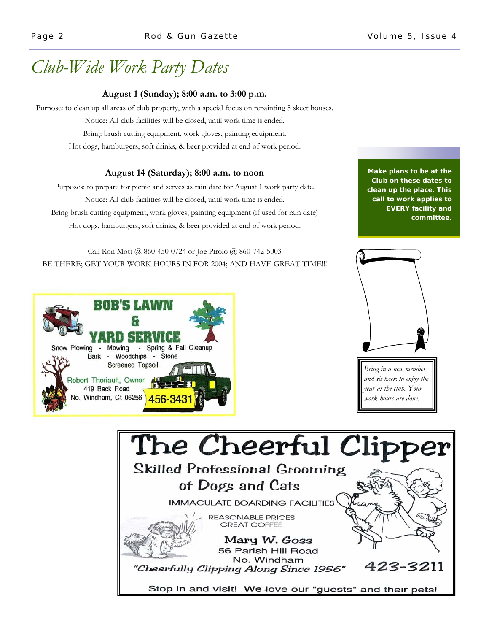# *Club-Wide Work Party Dates*

#### **August 1 (Sunday); 8:00 a.m. to 3:00 p.m.**

Purpose: to clean up all areas of club property, with a special focus on repainting 5 skeet houses.

Notice: All club facilities will be closed, until work time is ended.

Bring: brush cutting equipment, work gloves, painting equipment.

Hot dogs, hamburgers, soft drinks, & beer provided at end of work period.

#### **August 14 (Saturday); 8:00 a.m. to noon**

Purposes: to prepare for picnic and serves as rain date for August 1 work party date. Notice: All club facilities will be closed, until work time is ended. Bring brush cutting equipment, work gloves, painting equipment (if used for rain date) Hot dogs, hamburgers, soft drinks, & beer provided at end of work period.

Call Ron Mott @ 860-450-0724 or Joe Pirolo @ 860-742-5003 BE THERE; GET YOUR WORK HOURS IN FOR 2004; AND HAVE GREAT TIME!!!





*Bring in a new member and sit back to enjoy the year at the club. Your work hours are done.* 



**Make plans to be at the Club on these dates to clean up the place. This call to work applies to EVERY facility and committee.**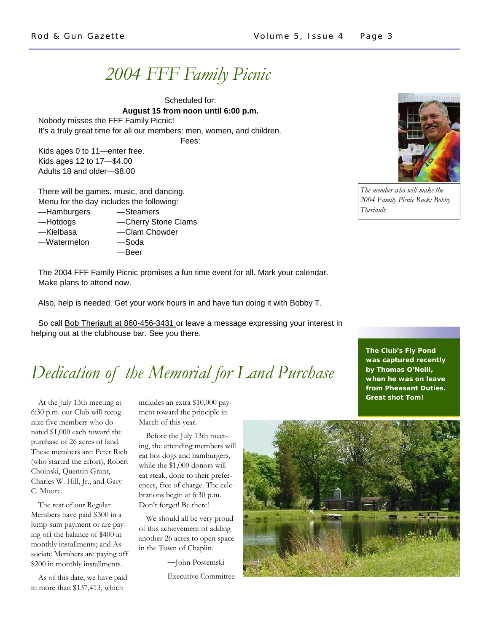# *2004 FFF Family Picnic*

Scheduled for: **August 15 from noon until 6:00 p.m.**  Nobody misses the FFF Family Picnic! It's a truly great time for all our members: men, women, and children.

Fees:

Kids ages 0 to 11—enter free. Kids ages 12 to 17—\$4.00 Adults 18 and older—\$8.00

There will be games, music, and dancing. Menu for the day includes the following:

- —Hamburgers —Steamers
- —Hotdogs —Cherry Stone Clams
- —Kielbasa —Clam Chowder

—Watermelon —Soda

- 
- —Beer

The 2004 FFF Family Picnic promises a fun time event for all. Mark your calendar. Make plans to attend now.

Also, help is needed. Get your work hours in and have fun doing it with Bobby T.

So call **Bob Theriault at 860-456-3431** or leave a message expressing your interest in helping out at the clubhouse bar. See you there.

# *Dedication of the Memorial for Land Purchase*

 At the July 13th meeting at 6:30 p.m. our Club will recognize five members who donated \$1,000 each toward the purchase of 26 acres of land. These members are: Peter Rich (who started the effort), Robert Choinski, Quentin Grant, Charles W. Hill, Jr., and Gary C. Moore.

 The rest of our Regular Members have paid \$300 in a lump-sum payment or are paying off the balance of \$400 in monthly installments; and Associate Members are paying off \$200 in monthly installments.

 As of this date, we have paid in more than \$137,413, which

includes an extra \$10,000 payment toward the principle in March of this year.

 Before the July 13th meeting, the attending members will eat hot dogs and hamburgers, while the \$1,000 donors will eat steak, done to their preferences, free of charge. The celebrations begin at 6:30 p.m. Don't forget! Be there!

 We should all be very proud of this achievement of adding another 26 acres to open space in the Town of Chaplin.

—John Postemski

Executive Committee





*The member who will make the 2004 Family Picnic Rock: Bobby Theriault.* 

**The Club's Fly Pond was captured recently by Thomas O'Neill, when he was on leave from Pheasant Duties. Great shot Tom!**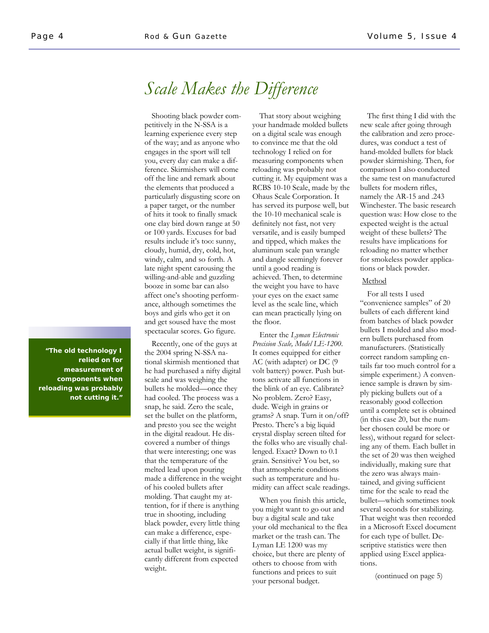## *Scale Makes the Difference*

 Shooting black powder competitively in the N-SSA is a learning experience every step of the way; and as anyone who engages in the sport will tell you, every day can make a difference. Skirmishers will come off the line and remark about the elements that produced a particularly disgusting score on a paper target, or the number of hits it took to finally smack one clay bird down range at 50 or 100 yards. Excuses for bad results include it's too: sunny, cloudy, humid, dry, cold, hot, windy, calm, and so forth. A late night spent carousing the willing-and-able and guzzling booze in some bar can also affect one's shooting performance, although sometimes the boys and girls who get it on and get soused have the most spectacular scores. Go figure.

 Recently, one of the guys at the 2004 spring N-SSA national skirmish mentioned that he had purchased a nifty digital scale and was weighing the bullets he molded—once they had cooled. The process was a snap, he said. Zero the scale, set the bullet on the platform, and presto you see the weight in the digital readout. He discovered a number of things that were interesting; one was that the temperature of the melted lead upon pouring made a difference in the weight of his cooled bullets after molding. That caught my attention, for if there is anything true in shooting, including black powder, every little thing can make a difference, especially if that little thing, like actual bullet weight, is significantly different from expected weight.

 That story about weighing your handmade molded bullets on a digital scale was enough to convince me that the old technology I relied on for measuring components when reloading was probably not cutting it. My equipment was a RCBS 10-10 Scale, made by the Ohaus Scale Corporation. It has served its purpose well, but the 10-10 mechanical scale is definitely not fast, not very versatile, and is easily bumped and tipped, which makes the aluminum scale pan wrangle and dangle seemingly forever until a good reading is achieved. Then, to determine the weight you have to have your eyes on the exact same level as the scale line, which can mean practically lying on the floor.

 Enter the *Lyman Electronic Precision Scale, Model LE-1200*. It comes equipped for either AC (with adapter) or DC (9 volt battery) power. Push buttons activate all functions in the blink of an eye. Calibrate? No problem. Zero? Easy, dude. Weigh in grains or grams? A snap. Turn it on/off? Presto. There's a big liquid crystal display screen tilted for the folks who are visually challenged. Exact? Down to 0.1 grain. Sensitive? You bet, so that atmospheric conditions such as temperature and humidity can affect scale readings.

 When you finish this article, you might want to go out and buy a digital scale and take your old mechanical to the flea market or the trash can. The Lyman LE 1200 was my choice, but there are plenty of others to choose from with functions and prices to suit your personal budget.

 The first thing I did with the new scale after going through the calibration and zero procedures, was conduct a test of hand-molded bullets for black powder skirmishing. Then, for comparison I also conducted the same test on manufactured bullets for modern rifles, namely the AR-15 and .243 Winchester. The basic research question was: How close to the expected weight is the actual weight of these bullets? The results have implications for reloading no matter whether for smokeless powder applications or black powder.

#### Method

 For all tests I used "convenience samples" of 20 bullets of each different kind from batches of black powder bullets I molded and also modern bullets purchased from manufacturers. (Statistically correct random sampling entails far too much control for a simple experiment.) A convenience sample is drawn by simply picking bullets out of a reasonably good collection until a complete set is obtained (in this case 20, but the number chosen could be more or less), without regard for selecting any of them. Each bullet in the set of 20 was then weighed individually, making sure that the zero was always maintained, and giving sufficient time for the scale to read the bullet—which sometimes took several seconds for stabilizing. That weight was then recorded in a Microsoft Excel document for each type of bullet. Descriptive statistics were then applied using Excel applications.

(continued on page 5)

**"The old technology I relied on for measurement of components when reloading was probably not cutting it."**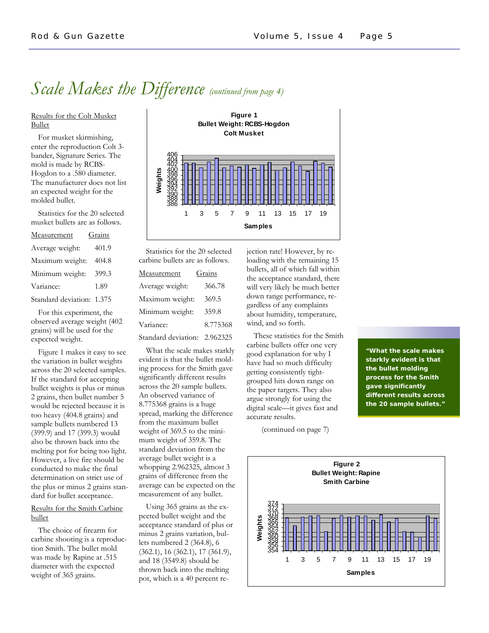## *Scale Makes the Difference (continued from page 4)*

Results for the Colt Musket Bullet

 For musket skirmishing, enter the reproduction Colt 3 bander, Signature Series. The mold is made by RCBS-Hogdon to a .580 diameter. The manufacturer does not list an expected weight for the molded bullet.

 Statistics for the 20 selected musket bullets are as follows.

| Measurement               | Grains |
|---------------------------|--------|
| Average weight:           | 401.9  |
| Maximum weight:           | 404.8  |
| Minimum weight:           | 399.3  |
| Variance:                 | 1.89   |
| Standard deviation: 1.375 |        |

 For this experiment, the observed average weight (402 grains) will be used for the expected weight.

 Figure 1 makes it easy to see the variation in bullet weights across the 20 selected samples. If the standard for accepting bullet weights is plus or minus 2 grains, then bullet number 5 would be rejected because it is too heavy (404.8 grains) and sample bullets numbered 13 (399.9) and 17 (399.3) would also be thrown back into the melting pot for being too light. However, a live fire should be conducted to make the final determination on strict use of the plus or minus 2 grains standard for bullet acceptance.

#### Results for the Smith Carbine bullet

 The choice of firearm for carbine shooting is a reproduction Smith. The bullet mold was made by Rapine at .515 diameter with the expected weight of 365 grains.



 Statistics for the 20 selected carbine bullets are as follows.

| Measurement         | Grains   |
|---------------------|----------|
| Average weight:     | 366.78   |
| Maximum weight:     | 369.5    |
| Minimum weight:     | 359.8    |
| Variance:           | 8.775368 |
| Standard deviation: | 2.962325 |

 What the scale makes starkly evident is that the bullet molding process for the Smith gave significantly different results across the 20 sample bullets. An observed variance of 8.775368 grains is a huge spread, marking the difference from the maximum bullet weight of 369.5 to the minimum weight of 359.8. The standard deviation from the average bullet weight is a whopping 2.962325, almost 3 grains of difference from the average can be expected on the measurement of any bullet.

 Using 365 grains as the expected bullet weight and the acceptance standard of plus or minus 2 grains variation, bullets numbered 2 (364.8), 6 (362.1), 16 (362.1), 17 (361.9), and 18 (3549.8) should be thrown back into the melting pot, which is a 40 percent rejection rate! However, by reloading with the remaining 15 bullets, all of which fall within the acceptance standard, there will very likely be much better down range performance, regardless of any complaints about humidity, temperature, wind, and so forth.

 These statistics for the Smith carbine bullets offer one very good explanation for why I have had so much difficulty getting consistently tightgrouped hits down range on the paper targets. They also argue strongly for using the digital scale—it gives fast and accurate results.

(continued on page 7)

**"What the scale makes starkly evident is that the bullet molding process for the Smith gave significantly different results across the 20 sample bullets."** 

**Figure 2 Bullet Weight: Rapine Smith Carbine** 354 356 <u>360</u><br>358 362 364 366 370<br>368 372 374 1 3 5 7 9 11 13 15 17 19 **Samples Weights**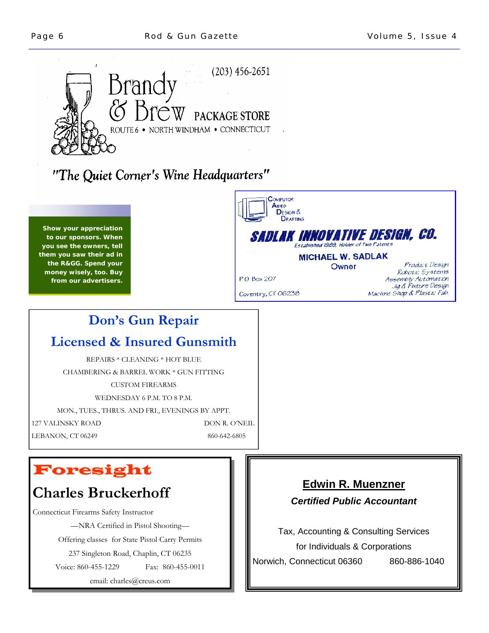

## "The Quiet Corner's Wine Headquarters"

**Show your appreciation to our sponsors. When you see the owners, tell them you saw their ad in the R&GG. Spend your money wisely, too. Buy from our advertisers.** 

# **Don's Gun Repair**

### **Licensed & Insured Gunsmith**

REPAIRS \* CLEANING \* HOT BLUE CHAMBERING & BARREL WORK \* GUN FITTING CUSTOM FIREARMS WEDNESDAY 6 P.M. TO 8 P.M. MON., TUES., THRUS. AND FRI., EVENINGS BY APPT. 127 VALINSKY ROAD DON R. O'NEIL

LEBANON, CT 06249 860-642-6805

## Foresight

## **Charles Bruckerhoff**

Connecticut Firearms Safety Instructor —NRA Certified in Pistol Shooting—

Offering classes for State Pistol Carry Permits

237 Singleton Road, Chaplin, CT 06235

Voice: 860-455-1229 Fax: 860-455-0011

email: charles@creus.com

#### COMPUTOR AIDED **DESIGN &** DRAFTING **SADLAK INNOVATIVE DESIGN, CO.** stablished 1989, Holder of Two Patents **MICHAEL W. SADLAK** Product Design Owner Robotic Systems P.O. Box 207 Assembly Automation Jig & Fixture Design Coventry, CT 06238 Machine Shop & Plastic Fab.

#### **Edwin R. Muenzner**

#### *Certified Public Accountant*

Tax, Accounting & Consulting Services for Individuals & Corporations Norwich, Connecticut 06360 860-886-1040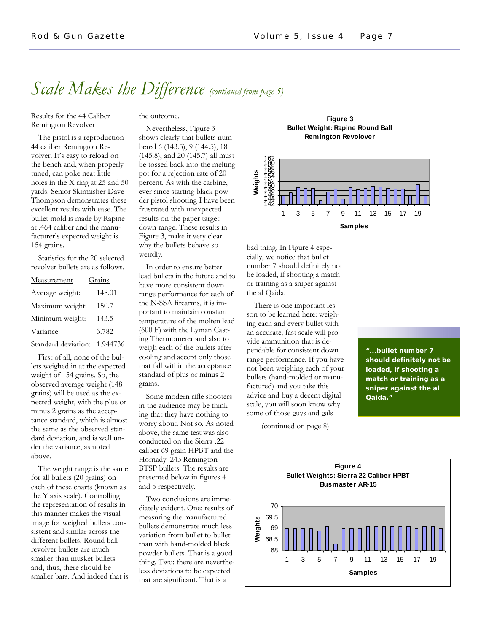## *Scale Makes the Difference (continued from page 5)*

#### Results for the 44 Caliber Remington Revolver

#### the outcome.

 The pistol is a reproduction 44 caliber Remington Revolver. It's easy to reload on the bench and, when properly tuned, can poke neat little holes in the X ring at 25 and 50 yards. Senior Skirmisher Dave Thompson demonstrates these excellent results with ease. The bullet mold is made by Rapine at .464 caliber and the manufacturer's expected weight is 154 grains.

 Statistics for the 20 selected revolver bullets are as follows.

| Measurement         | Grains   |
|---------------------|----------|
| Average weight:     | 148.01   |
| Maximum weight:     | 150.7    |
| Minimum weight:     | 143.5    |
| Variance:           | 3.782    |
| Standard deviation: | 1.944736 |

 First of all, none of the bullets weighed in at the expected weight of 154 grains. So, the observed average weight (148 grains) will be used as the expected weight, with the plus or minus 2 grains as the acceptance standard, which is almost the same as the observed standard deviation, and is well under the variance, as noted above.

 The weight range is the same for all bullets (20 grains) on each of these charts (known as the Y axis scale). Controlling the representation of results in this manner makes the visual image for weighed bullets consistent and similar across the different bullets. Round ball revolver bullets are much smaller than musket bullets and, thus, there should be smaller bars. And indeed that is shows clearly that bullets numbered 6 (143.5), 9 (144.5), 18 (145.8), and 20 (145.7) all must be tossed back into the melting pot for a rejection rate of 20 percent. As with the carbine, ever since starting black powder pistol shooting I have been frustrated with unexpected results on the paper target down range. These results in Figure 3, make it very clear

why the bullets behave so

weirdly.

Nevertheless, Figure 3

 In order to ensure better lead bullets in the future and to have more consistent down range performance for each of the N-SSA firearms, it is important to maintain constant temperature of the molten lead (600 F) with the Lyman Casting Thermometer and also to weigh each of the bullets after cooling and accept only those that fall within the acceptance standard of plus or minus 2 grains.

 Some modern rifle shooters in the audience may be thinking that they have nothing to worry about. Not so. As noted above, the same test was also conducted on the Sierra .22 caliber 69 grain HPBT and the Hornady .243 Remington BTSP bullets. The results are presented below in figures 4 and 5 respectively.

 Two conclusions are immediately evident. One: results of measuring the manufactured bullets demonstrate much less variation from bullet to bullet than with hand-molded black powder bullets. That is a good thing. Two: there are nevertheless deviations to be expected that are significant. That is a



bad thing. In Figure 4 especially, we notice that bullet number 7 should definitely not be loaded, if shooting a match or training as a sniper against the al Qaida.

 There is one important lesson to be learned here: weighing each and every bullet with an accurate, fast scale will provide ammunition that is dependable for consistent down range performance. If you have not been weighing each of your bullets (hand-molded or manufactured) and you take this advice and buy a decent digital scale, you will soon know why some of those guys and gals

**"...bullet number 7 should definitely not be loaded, if shooting a match or training as a sniper against the al Qaida."** 

(continued on page 8)

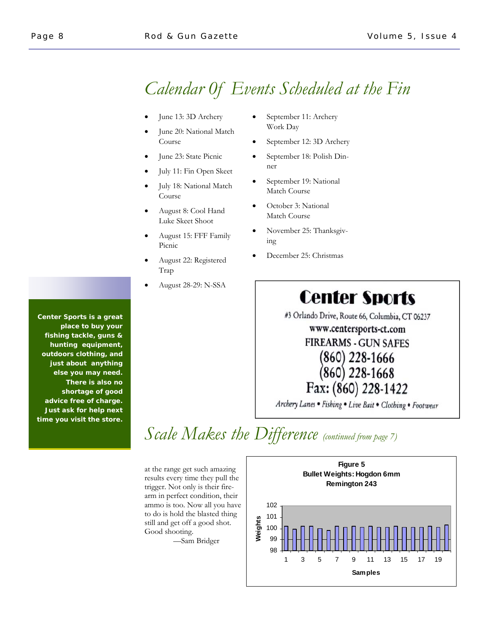## *Calendar 0f Events Scheduled at the Fin*

- June 13: 3D Archery
- June 20: National Match Course
- June 23: State Picnic
- July 11: Fin Open Skeet
- July 18: National Match Course
- August 8: Cool Hand Luke Skeet Shoot
- August 15: FFF Family Picnic
- August 22: Registered Trap
- August 28-29: N-SSA
- September 11: Archery Work Day
- September 12: 3D Archery
- September 18: Polish Dinner
- September 19: National Match Course
- October 3: National Match Course
- November 25: Thanksgiving
- December 25: Christmas

# **Center Sports**

#3 Orlando Drive, Route 66, Columbia, CT 06237

#### www.centersports-ct.com **FIREARMS - GUN SAFES**

## (860) 228-1666  $(860)$  228-1668 Fax: (860) 228-1422

Archery Lanes · Fishing · Live Bait · Clothing · Footwear

# *Scale Makes the Difference (continued from page 7)*

at the range get such amazing results every time they pull the trigger. Not only is their firearm in perfect condition, their ammo is too. Now all you have to do is hold the blasted thing still and get off a good shot. Good shooting.

—Sam Bridger



*Center Sports* **is a great place to buy your fishing tackle, guns & hunting equipment, outdoors clothing, and just about anything else you may need. There is also no shortage of good advice free of charge. Just ask for help next time you visit the store.**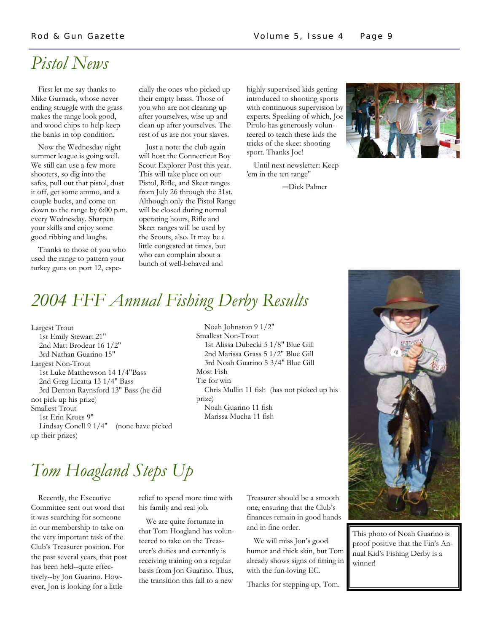## *Pistol News*

 First let me say thanks to Mike Gurnack, whose never ending struggle with the grass makes the range look good, and wood chips to help keep the banks in top condition.

 Now the Wednesday night summer league is going well. We still can use a few more shooters, so dig into the safes, pull out that pistol, dust it off, get some ammo, and a couple bucks, and come on down to the range by 6:00 p.m. every Wednesday. Sharpen your skills and enjoy some good ribbing and laughs.

 Thanks to those of you who used the range to pattern your turkey guns on port 12, especially the ones who picked up their empty brass. Those of you who are not cleaning up after yourselves, wise up and clean up after yourselves. The rest of us are not your slaves.

 Just a note: the club again will host the Connecticut Boy Scout Explorer Post this year. This will take place on our Pistol, Rifle, and Skeet ranges from July 26 through the 31st. Although only the Pistol Range will be closed during normal operating hours, Rifle and Skeet ranges will be used by the Scouts, also. It may be a little congested at times, but who can complain about a bunch of well-behaved and

highly supervised kids getting introduced to shooting sports with continuous supervision by experts. Speaking of which, Joe Pirolo has generously volunteered to teach these kids the tricks of the skeet shooting sport. Thanks Joe!

 Until next newsletter: Keep 'em in the ten range"

-Dick Palmer



# *2004 FFF Annual Fishing Derby Results*

Largest Trout 1st Emily Stewart 21" 2nd Matt Brodeur 16 1/2" 3rd Nathan Guarino 15" Largest Non-Trout 1st Luke Matthewson 14 1/4"Bass 2nd Greg Licatta 13 1/4" Bass 3rd Denton Raynsford 13" Bass (he did not pick up his prize) Smallest Trout 1st Erin Kroes 9" Lindsay Conell 9 1/4" (none have picked up their prizes)

 Noah Johnston 9 1/2" Smallest Non-Trout 1st Alissa Dubecki 5 1/8" Blue Gill 2nd Marissa Grass 5 1/2" Blue Gill 3rd Noah Guarino 5 3/4" Blue Gill Most Fish Tie for win Chris Mullin 11 fish (has not picked up his prize) Noah Guarino 11 fish Marissa Mucha 11 fish



This photo of Noah Guarino is proof positive that the Fin's Annual Kid's Fishing Derby is a winner!

# *Tom Hoagland Steps Up*

 Recently, the Executive Committee sent out word that it was searching for someone in our membership to take on the very important task of the Club's Treasurer position. For the past several years, that post has been held--quite effectively--by Jon Guarino. However, Jon is looking for a little

relief to spend more time with his family and real job.

 We are quite fortunate in that Tom Hoagland has volunteered to take on the Treasurer's duties and currently is receiving training on a regular basis from Jon Guarino. Thus, the transition this fall to a new

Treasurer should be a smooth one, ensuring that the Club's finances remain in good hands and in fine order.

 We will miss Jon's good humor and thick skin, but Tom already shows signs of fitting in with the fun-loving EC.

Thanks for stepping up, Tom.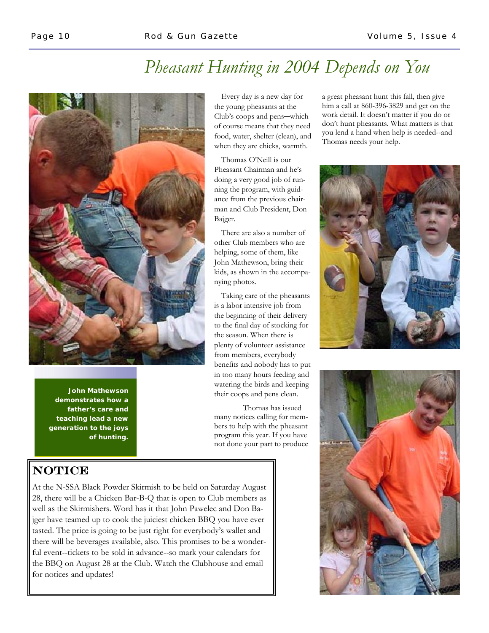# *Pheasant Hunting in 2004 Depends on You*



**John Mathewson demonstrates how a father's care and teaching lead a new generation to the joys of hunting.** 

#### **NOTICE**

At the N-SSA Black Powder Skirmish to be held on Saturday August 28, there will be a Chicken Bar-B-Q that is open to Club members as well as the Skirmishers. Word has it that John Pawelec and Don Bajger have teamed up to cook the juiciest chicken BBQ you have ever tasted. The price is going to be just right for everybody's wallet and there will be beverages available, also. This promises to be a wonderful event--tickets to be sold in advance--so mark your calendars for the BBQ on August 28 at the Club. Watch the Clubhouse and email for notices and updates!

 Every day is a new day for the young pheasants at the Club's coops and pens-which of course means that they need food, water, shelter (clean), and when they are chicks, warmth.

 Thomas O'Neill is our Pheasant Chairman and he's doing a very good job of running the program, with guidance from the previous chairman and Club President, Don Bajger.

 There are also a number of other Club members who are helping, some of them, like John Mathewson, bring their kids, as shown in the accompanying photos.

 Taking care of the pheasants is a labor intensive job from the beginning of their delivery to the final day of stocking for the season. When there is plenty of volunteer assistance from members, everybody benefits and nobody has to put in too many hours feeding and watering the birds and keeping their coops and pens clean.

 Thomas has issued many notices calling for members to help with the pheasant program this year. If you have not done your part to produce

a great pheasant hunt this fall, then give him a call at 860-396-3829 and get on the work detail. It doesn't matter if you do or don't hunt pheasants. What matters is that you lend a hand when help is needed--and Thomas needs your help.



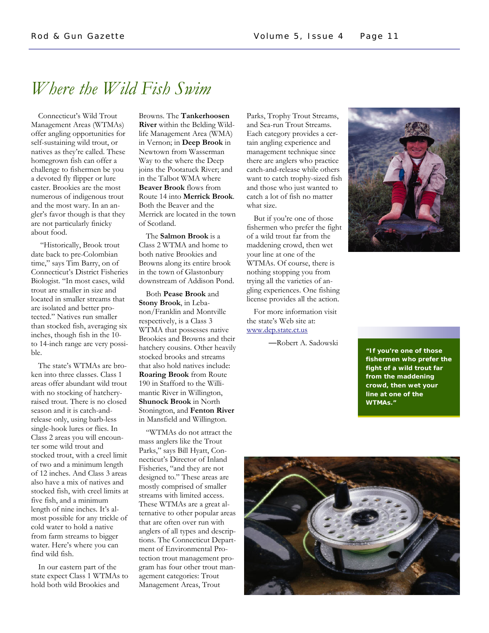## *Where the Wild Fish Swim*

 Connecticut's Wild Trout Management Areas (WTMAs) offer angling opportunities for self-sustaining wild trout, or natives as they're called. These homegrown fish can offer a challenge to fishermen be you a devoted fly flipper or lure caster. Brookies are the most numerous of indigenous trout and the most wary. In an angler's favor though is that they are not particularly finicky about food.

 "Historically, Brook trout date back to pre-Colombian time," says Tim Barry, on of Connecticut's District Fisheries Biologist. "In most cases, wild trout are smaller in size and located in smaller streams that are isolated and better protected." Natives run smaller than stocked fish, averaging six inches, though fish in the 10 to 14-inch range are very possible.

 The state's WTMAs are broken into three classes. Class 1 areas offer abundant wild trout with no stocking of hatcheryraised trout. There is no closed season and it is catch-andrelease only, using barb-less single-hook lures or flies. In Class 2 areas you will encounter some wild trout and stocked trout, with a creel limit of two and a minimum length of 12 inches. And Class 3 areas also have a mix of natives and stocked fish, with creel limits at five fish, and a minimum length of nine inches. It's almost possible for any trickle of cold water to hold a native from farm streams to bigger water. Here's where you can find wild fish.

 In our eastern part of the state expect Class 1 WTMAs to hold both wild Brookies and

Browns. The **Tankerhoosen River** within the Belding Wildlife Management Area (WMA) in Vernon; in **Deep Brook** in Newtown from Wasserman Way to the where the Deep joins the Pootatuck River; and in the Talbot WMA where **Beaver Brook** flows from Route 14 into **Merrick Brook**. Both the Beaver and the Merrick are located in the town of Scotland.

 The **Salmon Brook** is a Class 2 WTMA and home to both native Brookies and Browns along its entire brook in the town of Glastonbury downstream of Addison Pond.

 Both **Pease Brook** and **Stony Brook**, in Lebanon/Franklin and Montville respectively, is a Class 3 WTMA that possesses native Brookies and Browns and their hatchery cousins. Other heavily stocked brooks and streams that also hold natives include: **Roaring Brook** from Route 190 in Stafford to the Willimantic River in Willington, **Shunock Brook** in North Stonington, and **Fenton River** in Mansfield and Willington.

 "WTMAs do not attract the mass anglers like the Trout Parks," says Bill Hyatt, Connecticut's Director of Inland Fisheries, "and they are not designed to." These areas are mostly comprised of smaller streams with limited access. These WTMAs are a great alternative to other popular areas that are often over run with anglers of all types and descriptions. The Connecticut Department of Environmental Protection trout management program has four other trout management categories: Trout Management Areas, Trout

Parks, Trophy Trout Streams, and Sea-run Trout Streams. Each category provides a certain angling experience and management technique since there are anglers who practice catch-and-release while others want to catch trophy-sized fish and those who just wanted to catch a lot of fish no matter what size.

 But if you're one of those fishermen who prefer the fight of a wild trout far from the maddening crowd, then wet your line at one of the WTMAs. Of course, there is nothing stopping you from trying all the varieties of angling experiences. One fishing license provides all the action.

 For more information visit the state's Web site at: www.dep.state.ct.us

—Robert A. Sadowski



**"If you're one of those fishermen who prefer the fight of a wild trout far from the maddening crowd, then wet your line at one of the WTMAs."**